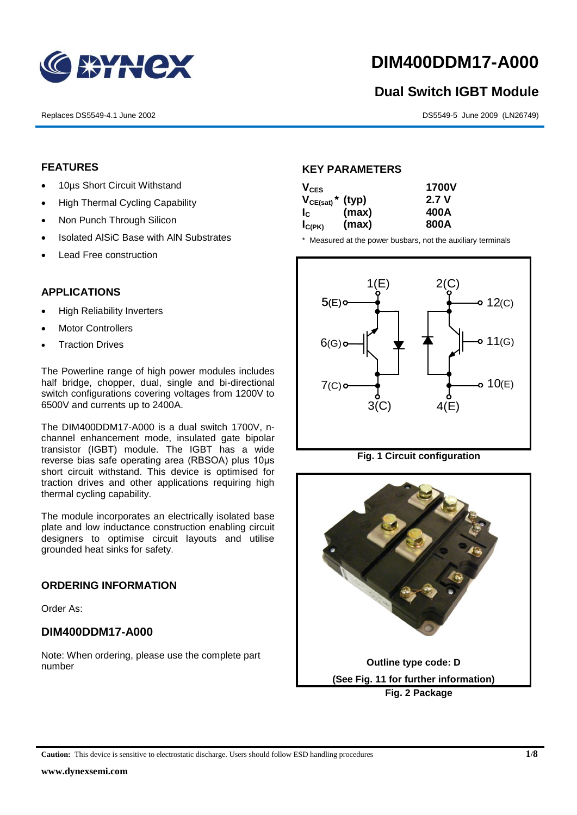

## **DIM400DDM17-A000**

# **Dual Switch IGBT Module** 1<br>1<br>1

Replaces DS5549-4.1 June 2002 DS5549-5 June 2009 (LN26749)

#### **FEATURES**

- 10µs Short Circuit Withstand
	- High Thermal Cycling Capability
- Non Punch Through Silicon
	- Isolated AISiC Base with AIN Substrates
	- Lead Free construction

#### **APPLICATIONS**

- High Reliability Inverters
- Motor Controllers
- Traction Drives

The Powerline range of high power modules includes half bridge, chopper, dual, single and bi-directional switch configurations covering voltages from 1200V to 6500V and currents up to 2400A.

The DIM400DDM17-A000 is a dual switch 1700V, nchannel enhancement mode, insulated gate bipolar transistor (IGBT) module. The IGBT has a wide reverse bias safe operating area (RBSOA) plus 10μs short circuit withstand. This device is optimised for traction drives and other applications requiring high thermal cycling capability.

The module incorporates an electrically isolated base plate and low inductance construction enabling circuit designers to optimise circuit layouts and utilise grounded heat sinks for safety.

#### **ORDERING INFORMATION**

Order As:

#### **DIM400DDM17-A000**

Note: When ordering, please use the complete part number

#### **KEY PARAMETERS**

| $V_{CES}$                        |       | <b>1700V</b> |  |
|----------------------------------|-------|--------------|--|
| $V_{CE(sat)}$ <sup>*</sup> (typ) |       | 2.7 V        |  |
| $I_{\rm c}$                      | (max) | 400A         |  |
| $I_{C(PK)}$                      | (max) | 800A         |  |

\* Measured at the power busbars, not the auxiliary terminals



**Fig. 1 Circuit configuration**



**Caution:** This device is sensitive to electrostatic discharge. Users should follow ESD handling procedures **1/8**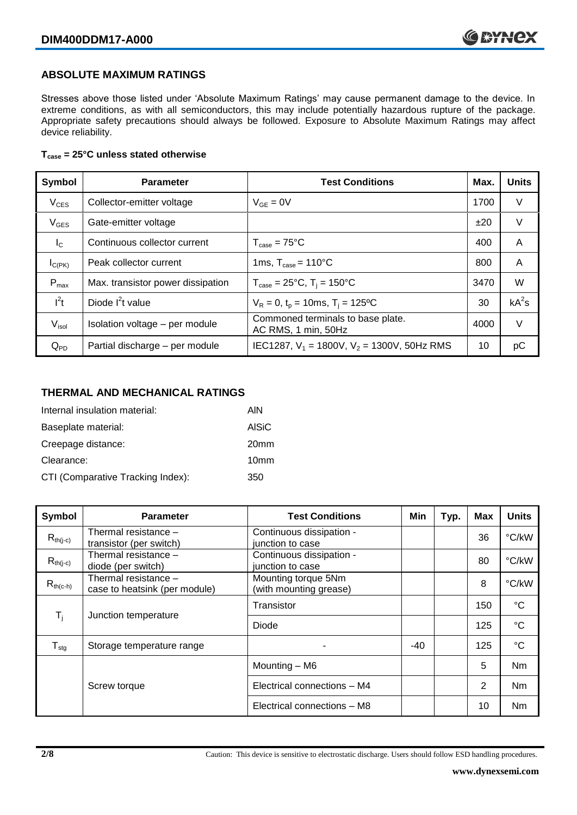#### **ABSOLUTE MAXIMUM RATINGS**

Stresses above those listed under 'Absolute Maximum Ratings' may cause permanent damage to the device. In extreme conditions, as with all semiconductors, this may include potentially hazardous rupture of the package. Appropriate safety precautions should always be followed. Exposure to Absolute Maximum Ratings may affect device reliability.

#### **Tcase = 25°C unless stated otherwise**

| Symbol           | <b>Parameter</b>                  | <b>Test Conditions</b>                                   | Max. | <b>Units</b> |
|------------------|-----------------------------------|----------------------------------------------------------|------|--------------|
| $V_{CES}$        | Collector-emitter voltage         | $V_{GF} = 0V$                                            | 1700 | $\vee$       |
| $V_{GES}$        | Gate-emitter voltage              |                                                          | ±20  | $\vee$       |
| $I_{\rm C}$      | Continuous collector current      | $T_{\text{case}} = 75^{\circ}C$                          | 400  | A            |
| $I_{C(PK)}$      | Peak collector current            | 1ms, $T_{\text{case}} = 110^{\circ}$ C                   | 800  | A            |
| $P_{\text{max}}$ | Max. transistor power dissipation | $T_{\text{case}} = 25^{\circ}C$ , $T_i = 150^{\circ}C$   | 3470 | W            |
| $I^2t$           | Diode $I^2t$ value                | $V_R = 0$ , $t_p = 10$ ms, $T_i = 125$ °C                | 30   | $kA^2s$      |
| $V_{\sf isol}$   | Isolation voltage - per module    | Commoned terminals to base plate.<br>AC RMS, 1 min, 50Hz | 4000 | $\vee$       |
| $Q_{PD}$         | Partial discharge - per module    | IEC1287, $V_1$ = 1800V, $V_2$ = 1300V, 50Hz RMS          | 10   | рC           |

#### **THERMAL AND MECHANICAL RATINGS**

| Internal insulation material:     | AIN              |
|-----------------------------------|------------------|
| Baseplate material:               | <b>AISiC</b>     |
| Creepage distance:                | 20 <sub>mm</sub> |
| Clearance:                        | 10 <sub>mm</sub> |
| CTI (Comparative Tracking Index): | 350              |

| Symbol                     | <b>Parameter</b>                                      | <b>Test Conditions</b>                        | Min   | Typ. | <b>Max</b> | <b>Units</b>    |
|----------------------------|-------------------------------------------------------|-----------------------------------------------|-------|------|------------|-----------------|
| $R_{th(j-c)}$              | Thermal resistance -<br>transistor (per switch)       | Continuous dissipation -<br>junction to case  |       |      | 36         | °C/kW           |
| $R_{th(j-c)}$              | Thermal resistance -<br>diode (per switch)            | Continuous dissipation -<br>junction to case  |       |      | 80         | °C/kW           |
| $R_{th(c-h)}$              | Thermal resistance –<br>case to heatsink (per module) | Mounting torque 5Nm<br>(with mounting grease) |       |      | 8          | °C/kW           |
| $T_i$                      | Junction temperature                                  | Transistor                                    |       |      | 150        | $\rm ^{\circ}C$ |
|                            |                                                       | Diode                                         |       |      | 125        | $\rm ^{\circ}C$ |
| ${\mathsf T}_{\text{stg}}$ | Storage temperature range                             |                                               | $-40$ |      | 125        | $\rm ^{\circ}C$ |
|                            |                                                       | Mounting - M6                                 |       |      | 5          | Nm              |
|                            | Screw torque                                          | Electrical connections - M4                   |       |      | 2          | Nm              |
|                            |                                                       | Electrical connections - M8                   |       |      | 10         | Nm              |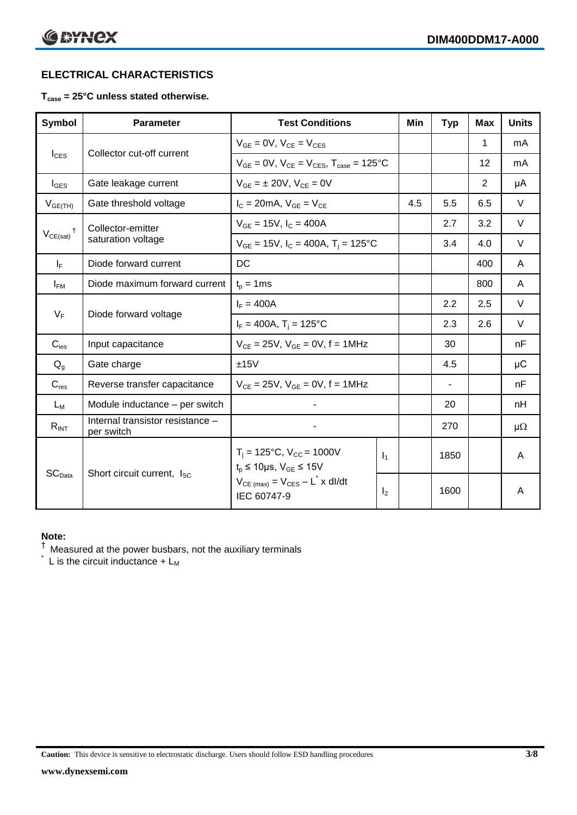### **ELECTRICAL CHARACTERISTICS**

#### **Tcase = 25°C unless stated otherwise.**

| <b>Symbol</b>                 | <b>Parameter</b>                               | <b>Test Conditions</b>                                                                       |                | Min | <b>Typ</b>     | <b>Max</b>     | <b>Units</b> |
|-------------------------------|------------------------------------------------|----------------------------------------------------------------------------------------------|----------------|-----|----------------|----------------|--------------|
| $I_{CES}$                     |                                                | $V_{GF} = 0V$ , $V_{CE} = V_{CES}$                                                           |                |     |                | 1              | mA           |
|                               | Collector cut-off current                      | $V_{GE} = 0V$ , $V_{CE} = V_{CES}$ , $T_{case} = 125^{\circ}C$                               |                |     |                | 12             | mA           |
| $I_{\text{GES}}$              | Gate leakage current                           | $V_{GE} = \pm 20V$ , $V_{CE} = 0V$                                                           |                |     |                | $\overline{2}$ | μA           |
| $V_{GE(TH)}$                  | Gate threshold voltage                         | $I_C = 20mA$ , $V_{GE} = V_{CE}$                                                             |                | 4.5 | 5.5            | 6.5            | $\vee$       |
| $\ddagger$                    | Collector-emitter                              | $V_{GE} = 15V$ , $I_C = 400A$                                                                |                |     | 2.7            | 3.2            | $\vee$       |
| $V_{CE(sat)}$                 | saturation voltage                             | $V_{GE}$ = 15V, $I_C$ = 400A, $T_i$ = 125°C                                                  |                |     | 3.4            | 4.0            | $\vee$       |
| $I_F$                         | Diode forward current                          | DC                                                                                           |                |     |                | 400            | A            |
| $I_{FM}$                      | Diode maximum forward current                  | $t_p = 1$ ms                                                                                 |                |     |                | 800            | A            |
| $V_F$                         | Diode forward voltage                          | $I_F = 400A$                                                                                 |                |     | 2.2            | 2.5            | $\vee$       |
|                               |                                                | $I_F = 400A$ , T <sub>i</sub> = 125°C                                                        |                |     | 2.3            | 2.6            | $\vee$       |
| $C_{\text{ies}}$              | Input capacitance                              | $V_{CF} = 25V$ , $V_{GF} = 0V$ , f = 1MHz                                                    |                |     | 30             |                | nF           |
| $Q_q$                         | Gate charge                                    | ±15V                                                                                         |                |     | 4.5            |                | $\mu$ C      |
| $C_{res}$                     | Reverse transfer capacitance                   | $V_{CE} = 25V$ , $V_{GE} = 0V$ , f = 1MHz                                                    |                |     | $\blacksquare$ |                | nF           |
| $L_M$                         | Module inductance - per switch                 |                                                                                              |                |     | 20             |                | nH           |
| $R_{INT}$                     | Internal transistor resistance -<br>per switch |                                                                                              |                |     | 270            |                | $\mu\Omega$  |
| $\mathsf{SC}_{\mathsf{Data}}$ | Short circuit current, I <sub>SC</sub>         | $T_i = 125$ °C, $V_{CC} = 1000V$<br>$\mathbf{I}_1$<br>$t_p \le 10 \mu s$ , $V_{GE} \le 15 V$ |                |     | 1850           |                | A            |
|                               |                                                | $V_{CE \text{ (max)}} = V_{CES} - L^* \times dl/dt$<br>IEC 60747-9                           | I <sub>2</sub> |     | 1600           |                | A            |

#### **Note:**

 $^{\dagger}$  Measured at the power busbars, not the auxiliary terminals

 $\check{}$  L is the circuit inductance +  $L_M$ 

**Caution:** This device is sensitive to electrostatic discharge. Users should follow ESD handling procedures **3/8**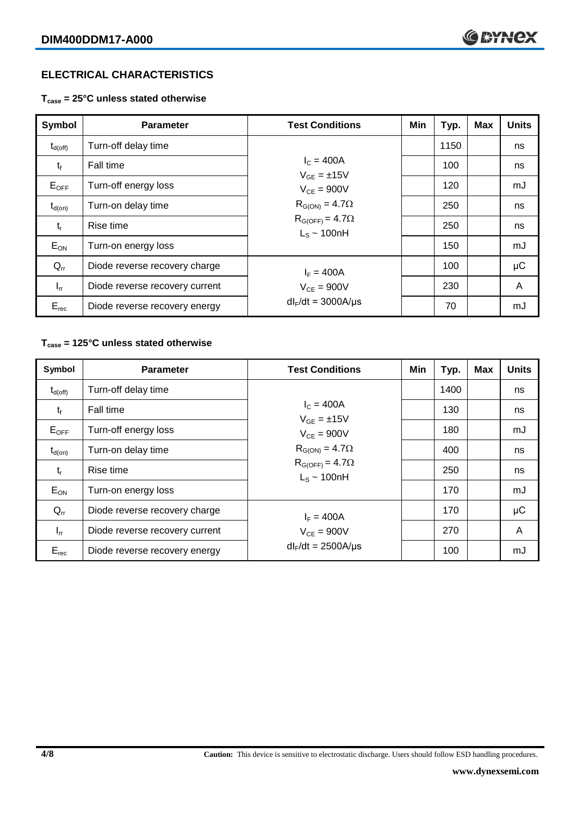#### **ELECTRICAL CHARACTERISTICS**

**Tcase = 25°C unless stated otherwise**

| Symbol              | <b>Parameter</b>               | <b>Test Conditions</b>                       | Min | Typ. | <b>Max</b> | <b>Units</b> |
|---------------------|--------------------------------|----------------------------------------------|-----|------|------------|--------------|
| $t_{d(\text{off})}$ | Turn-off delay time            |                                              |     | 1150 |            | ns           |
| $t_{\rm f}$         | Fall time                      | $I_{C} = 400A$<br>$V_{GF} = \pm 15V$         |     | 100  |            | ns           |
| $E_{OFF}$           | Turn-off energy loss           | $V_{CF} = 900V$                              |     | 120  |            | mJ           |
| $t_{d(on)}$         | Turn-on delay time             | $R_{G(ON)} = 4.7\Omega$                      |     | 250  |            | ns           |
| $t_{r}$             | Rise time                      | $R_{G(OFF)} = 4.7\Omega$<br>$L_s \sim 100nH$ |     | 250  |            | ns           |
| $E_{ON}$            | Turn-on energy loss            |                                              |     | 150  |            | mJ           |
| $Q_{rr}$            | Diode reverse recovery charge  | $I_F = 400A$<br>$V_{CF} = 900V$              |     | 100  |            | $\mu$ C      |
| $I_{rr}$            | Diode reverse recovery current |                                              |     | 230  |            | A            |
| $E_{rec}$           | Diode reverse recovery energy  | $dl_F/dt = 3000A/\mu s$                      |     | 70   |            | mJ           |

#### **Tcase = 125°C unless stated otherwise**

| Symbol              | <b>Parameter</b>               | <b>Test Conditions</b>                                                  | Min | Typ. | <b>Max</b> | <b>Units</b> |
|---------------------|--------------------------------|-------------------------------------------------------------------------|-----|------|------------|--------------|
| $t_{d(\text{off})}$ | Turn-off delay time            |                                                                         |     | 1400 |            | ns           |
| $t_{f}$             | Fall time                      | $I_C = 400A$<br>$V_{GF} = \pm 15V$                                      |     | 130  |            | ns           |
| $E_{OFF}$           | Turn-off energy loss           | $V_{CF} = 900V$                                                         |     | 180  |            | mJ           |
| $t_{d(on)}$         | Turn-on delay time             | $R_{G(ON)} = 4.7\Omega$<br>$R_{G(OFF)} = 4.7\Omega$<br>$L_s \sim 100nH$ |     | 400  |            | ns           |
| $t_{r}$             | Rise time                      |                                                                         |     | 250  |            | ns           |
| $E_{ON}$            | Turn-on energy loss            |                                                                         |     | 170  |            | mJ           |
| $Q_{rr}$            | Diode reverse recovery charge  | $I_F = 400A$<br>$V_{CE}$ = 900V                                         |     | 170  |            | $\mu$ C      |
| $I_{rr}$            | Diode reverse recovery current |                                                                         |     | 270  |            | A            |
| $E_{rec}$           | Diode reverse recovery energy  | $dl_F/dt = 2500A/\mu s$                                                 |     | 100  |            | mJ           |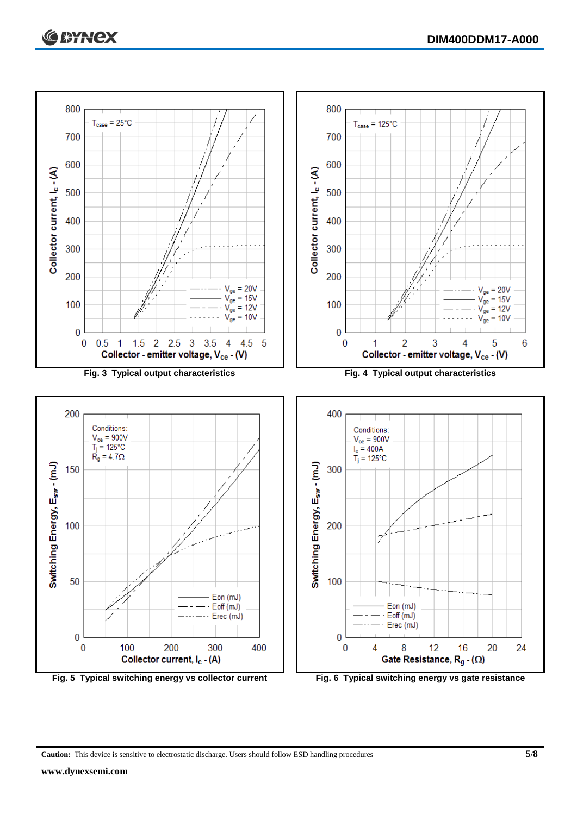



**Caution:** This device is sensitive to electrostatic discharge. Users should follow ESD handling procedures **5/8**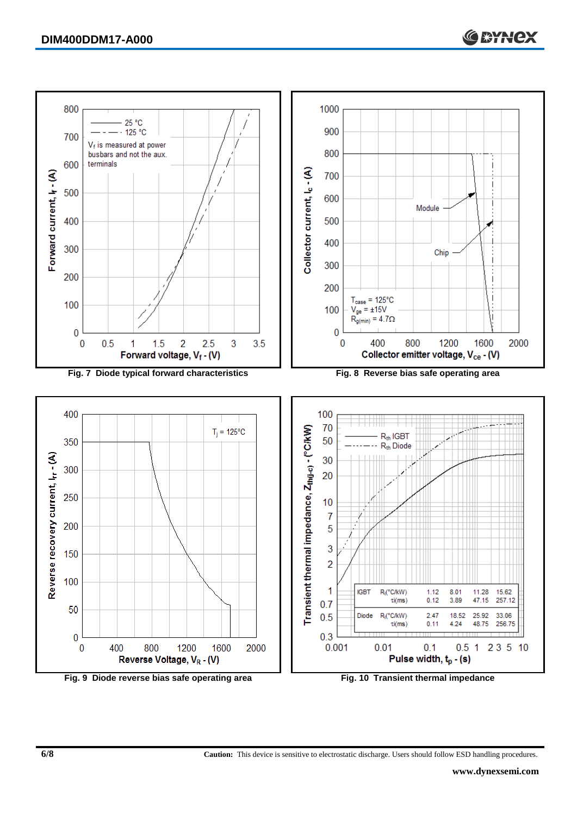

**6/8 Caution:** This device is sensitive to electrostatic discharge. Users should follow ESD handling procedures.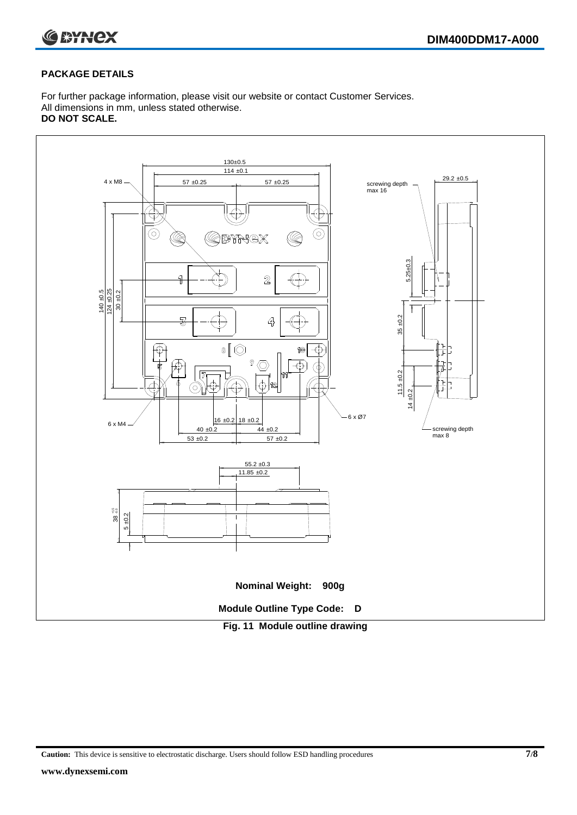

#### **PACKAGE DETAILS**

For further package information, please visit our website or contact Customer Services. All dimensions in mm, unless stated otherwise. **DO NOT SCALE.**



**Caution:** This device is sensitive to electrostatic discharge. Users should follow ESD handling procedures **7/8**